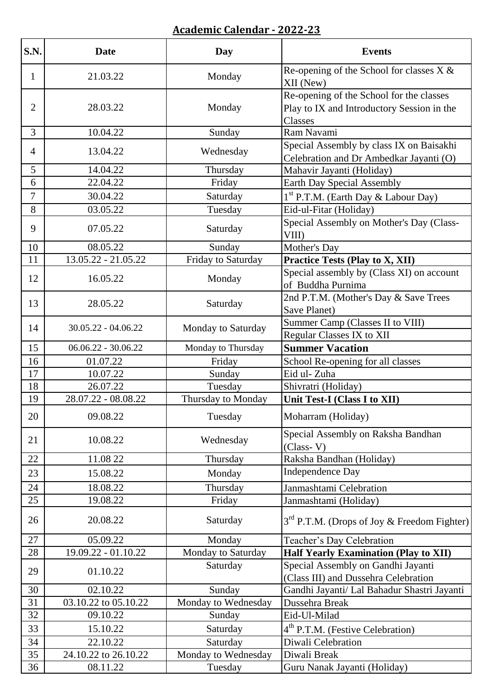## **Academic Calendar - 2022-23**

| S.N.           | <b>Date</b>           | Day                 | <b>Events</b>                                                                                     |
|----------------|-----------------------|---------------------|---------------------------------------------------------------------------------------------------|
| $\mathbf{1}$   | 21.03.22              | Monday              | Re-opening of the School for classes $X &$<br>XII (New)                                           |
| $\overline{2}$ | 28.03.22              | Monday              | Re-opening of the School for the classes<br>Play to IX and Introductory Session in the<br>Classes |
| $\overline{3}$ | 10.04.22              | Sunday              | Ram Navami                                                                                        |
| 4              | 13.04.22              | Wednesday           | Special Assembly by class IX on Baisakhi<br>Celebration and Dr Ambedkar Jayanti (O)               |
| 5              | 14.04.22              | Thursday            | Mahavir Jayanti (Holiday)                                                                         |
| 6              | 22.04.22              | Friday              | Earth Day Special Assembly                                                                        |
| 7              | 30.04.22              | Saturday            | 1 <sup>st</sup> P.T.M. (Earth Day & Labour Day)                                                   |
| 8              | 03.05.22              | Tuesday             | Eid-ul-Fitar (Holiday)                                                                            |
| 9              | 07.05.22              | Saturday            | Special Assembly on Mother's Day (Class-<br>VIII)                                                 |
| 10             | 08.05.22              | Sunday              | Mother's Day                                                                                      |
| 11             | 13.05.22 - 21.05.22   | Friday to Saturday  | <b>Practice Tests (Play to X, XII)</b>                                                            |
| 12             | 16.05.22              | Monday              | Special assembly by (Class XI) on account<br>of Buddha Purnima                                    |
| 13             | 28.05.22              | Saturday            | 2nd P.T.M. (Mother's Day & Save Trees<br>Save Planet)                                             |
| 14             | $30.05.22 - 04.06.22$ | Monday to Saturday  | Summer Camp (Classes II to VIII)<br><b>Regular Classes IX to XII</b>                              |
| 15             | $06.06.22 - 30.06.22$ | Monday to Thursday  | <b>Summer Vacation</b>                                                                            |
| 16             | 01.07.22              | Friday              | School Re-opening for all classes                                                                 |
| 17             | 10.07.22              | Sunday              | Eid ul-Zuha                                                                                       |
| 18             | 26.07.22              | Tuesday             | Shivratri (Holiday)                                                                               |
| 19             | 28.07.22 - 08.08.22   | Thursday to Monday  | Unit Test-I (Class I to XII)                                                                      |
| 20             | 09.08.22              | Tuesday             | Moharram (Holiday)                                                                                |
| 21             | 10.08.22              | Wednesday           | Special Assembly on Raksha Bandhan<br>$(Class-V)$                                                 |
| 22             | 11.08 22              | Thursday            | Raksha Bandhan (Holiday)                                                                          |
| 23             | 15.08.22              | Monday              | <b>Independence Day</b>                                                                           |
| 24             | 18.08.22              | Thursday            | Janmashtami Celebration                                                                           |
| 25             | 19.08.22              | Friday              | Janmashtami (Holiday)                                                                             |
| 26             | 20.08.22              | Saturday            | $3rd$ P.T.M. (Drops of Joy & Freedom Fighter)                                                     |
| 27             | 05.09.22              | Monday              | Teacher's Day Celebration                                                                         |
| 28             | 19.09.22 - 01.10.22   | Monday to Saturday  | <b>Half Yearly Examination (Play to XII)</b>                                                      |
| 29             | 01.10.22              | Saturday            | Special Assembly on Gandhi Jayanti<br>(Class III) and Dussehra Celebration                        |
| 30             | 02.10.22              | Sunday              | Gandhi Jayanti/ Lal Bahadur Shastri Jayanti                                                       |
| 31             | 03.10.22 to 05.10.22  | Monday to Wednesday | Dussehra Break                                                                                    |
| 32             | 09.10.22              | Sunday              | Eid-Ul-Milad                                                                                      |
| 33             | 15.10.22              | Saturday            | 4 <sup>th</sup> P.T.M. (Festive Celebration)                                                      |
| 34             | 22.10.22              | Saturday            | Diwali Celebration                                                                                |
| 35             | 24.10.22 to 26.10.22  | Monday to Wednesday | Diwali Break                                                                                      |
| 36             | 08.11.22              | Tuesday             | Guru Nanak Jayanti (Holiday)                                                                      |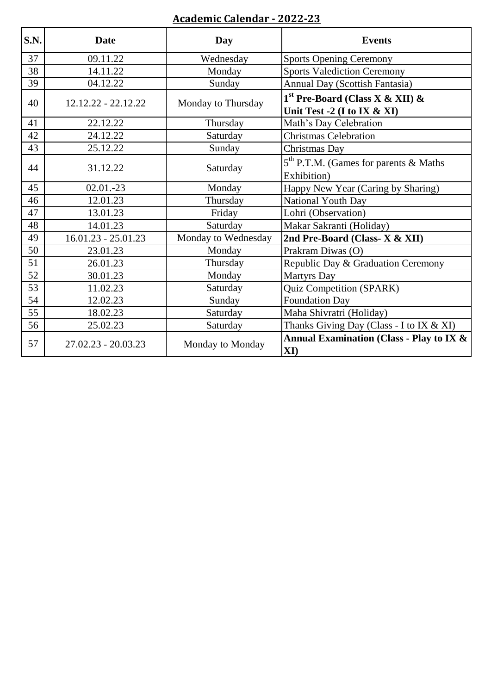## **Academic Calendar - 2022-23**

| S.N. | <b>Date</b>           | Day                 | <b>Events</b>                                                    |
|------|-----------------------|---------------------|------------------------------------------------------------------|
| 37   | 09.11.22              | Wednesday           | <b>Sports Opening Ceremony</b>                                   |
| 38   | 14.11.22              | Monday              | <b>Sports Valediction Ceremony</b>                               |
| 39   | 04.12.22              | Sunday              | Annual Day (Scottish Fantasia)                                   |
| 40   | $12.12.22 - 22.12.22$ | Monday to Thursday  | $1st$ Pre-Board (Class X & XII) &<br>Unit Test -2 (I to IX & XI) |
| 41   | 22.12.22              | Thursday            | Math's Day Celebration                                           |
| 42   | 24.12.22              | Saturday            | <b>Christmas Celebration</b>                                     |
| 43   | 25.12.22              | Sunday              | Christmas Day                                                    |
| 44   | 31.12.22              | Saturday            | 5 <sup>th</sup> P.T.M. (Games for parents & Maths                |
|      |                       |                     | Exhibition)                                                      |
| 45   | $02.01 - 23$          | Monday              | Happy New Year (Caring by Sharing)                               |
| 46   | 12.01.23              | Thursday            | National Youth Day                                               |
| 47   | 13.01.23              | Friday              | Lohri (Observation)                                              |
| 48   | 14.01.23              | Saturday            | Makar Sakranti (Holiday)                                         |
| 49   | $16.01.23 - 25.01.23$ | Monday to Wednesday | 2nd Pre-Board (Class- X & XII)                                   |
| 50   | 23.01.23              | Monday              | Prakram Diwas (O)                                                |
| 51   | 26.01.23              | Thursday            | Republic Day & Graduation Ceremony                               |
| 52   | 30.01.23              | Monday              | <b>Martyrs Day</b>                                               |
| 53   | 11.02.23              | Saturday            | <b>Quiz Competition (SPARK)</b>                                  |
| 54   | 12.02.23              | Sunday              | <b>Foundation Day</b>                                            |
| 55   | 18.02.23              | Saturday            | Maha Shivratri (Holiday)                                         |
| 56   | 25.02.23              | Saturday            | Thanks Giving Day (Class - I to IX & XI)                         |
| 57   | $27.02.23 - 20.03.23$ | Monday to Monday    | Annual Examination (Class - Play to IX &<br>$\mathbf{X}$ I)      |